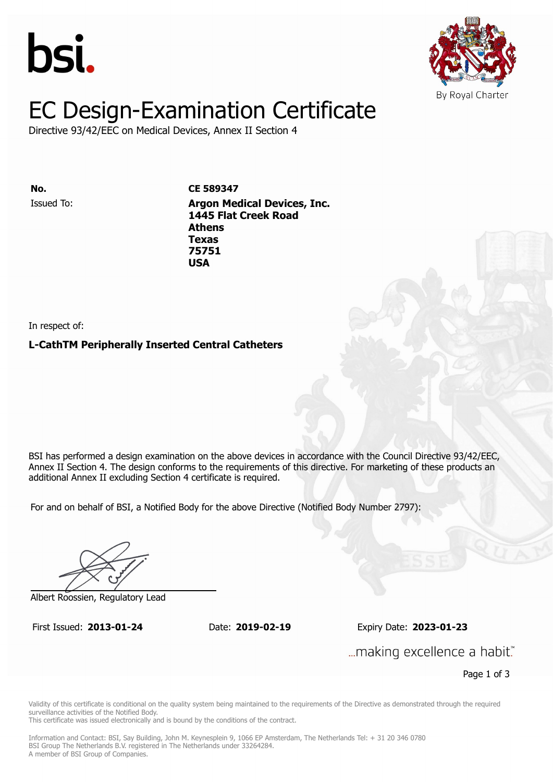



# EC Design-Examination Certificate

Directive 93/42/EEC on Medical Devices, Annex II Section 4

**Issued To: Argon Medical Device S89347 1445 Flat Creek Road Athens** Issued To: **Argon Medical Devices, Inc. Texas 1445 Flat Creek Road 75751 Athens Texas 75751 USA**

In respect of:

**L-CathTM Peripherally Inserted Central Catheters**

BSI has performed a design examination on the above devices in accordance with the Council Directive 93/42/EEC, Annex II Section 4. The design conforms to the requirements of this directive. For marketing of these products an additional Annex II excluding Section 4 certificate is required.

For and on behalf of BSI, a Notified Body for the above Directive (Notified Body Number 2797):

Albert Roossien, Regulatory Lead

First Issued: **2013-01-24** Date: **2019-02-19** Expiry Date: **2023-01-23** First Issued: **2013-01-24** Date: **2019-02-19** Expiry Date: **2023-01-23**

... making excellence a habit."

Page 1 of 3

Validity of this certificate is conditional on the quality system being maintained to the requirements of the Directive as demonstrated through the required surveillance activities of the Notified Body.

This certificate was issued electronically and is bound by the conditions of the contract.

Information and Contact: BSI, Say Building, John M. Keynesplein 9, 1066 EP Amsterdam, The Netherlands Tel: + 31 20 346 0780 BSI Group The Netherlands B.V. registered in The Netherlands under 33264284. A member of BSI Group of Companies.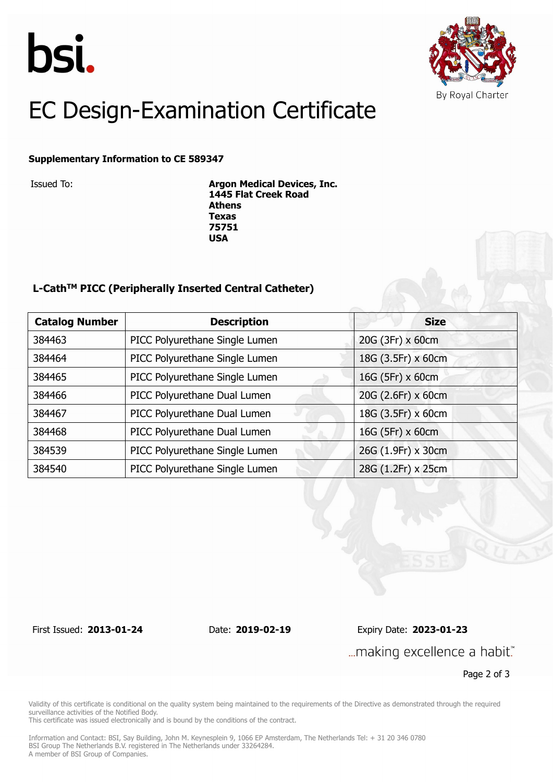



# EC Design-Examination Certificate

### **Supplementary Information to CE 589347**

Issued To: **Argon Medical Devices, Inc. 1445 Flat Creek Road Athens Texas 75751 USA**

### **L-CathTM PICC (Peripherally Inserted Central Catheter)**

| <b>Catalog Number</b> | <b>Size</b><br><b>Description</b>                    |                    |
|-----------------------|------------------------------------------------------|--------------------|
| 384463                | PICC Polyurethane Single Lumen                       | 20G (3Fr) x 60cm   |
| 384464                | PICC Polyurethane Single Lumen                       | 18G (3.5Fr) x 60cm |
| 384465                | PICC Polyurethane Single Lumen                       | 16G (5Fr) x 60cm   |
| 384466                | 20G (2.6Fr) x 60cm<br>PICC Polyurethane Dual Lumen   |                    |
| 384467                | 18G (3.5Fr) x 60cm<br>PICC Polyurethane Dual Lumen   |                    |
| 384468                | PICC Polyurethane Dual Lumen<br>16G (5Fr) x 60cm     |                    |
| 384539                | PICC Polyurethane Single Lumen<br>26G (1.9Fr) x 30cm |                    |
| 384540                | 28G (1.2Fr) x 25cm<br>PICC Polyurethane Single Lumen |                    |

First Issued: **2013-01-24** Date: **2019-02-19** Expiry Date: **2023-01-23** ... making excellence a habit."

Page 2 of 3

Validity of this certificate is conditional on the quality system being maintained to the requirements of the Directive as demonstrated through the required surveillance activities of the Notified Body.

This certificate was issued electronically and is bound by the conditions of the contract.

Information and Contact: BSI, Say Building, John M. Keynesplein 9, 1066 EP Amsterdam, The Netherlands Tel: + 31 20 346 0780 BSI Group The Netherlands B.V. registered in The Netherlands under 33264284. A member of BSI Group of Companies.